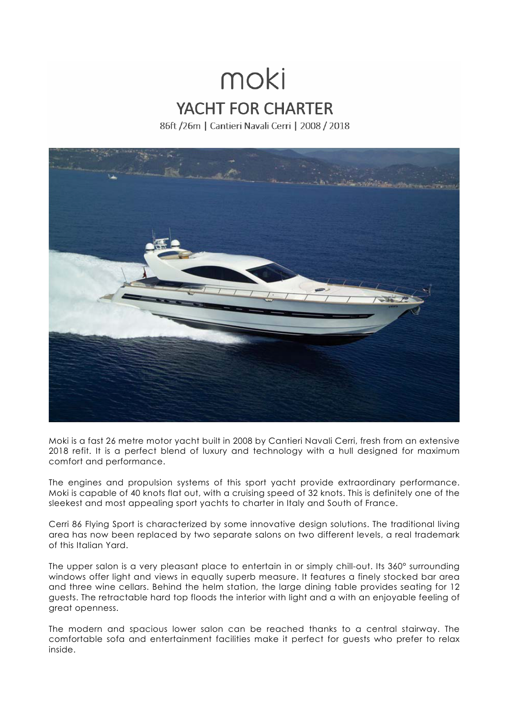# moki YACHT FOR CHARTER

86ft /26m | Cantieri Navali Cerri | 2008 / 2018



Moki is a fast 26 metre motor yacht built in 2008 by Cantieri Navali Cerri, fresh from an extensive 2018 refit. It is a perfect blend of luxury and technology with a hull designed for maximum comfort and performance.

The engines and propulsion systems of this sport yacht provide extraordinary performance. Moki is capable of 40 knots flat out, with a cruising speed of 32 knots. This is definitely one of the sleekest and most appealing sport yachts to charter in Italy and South of France.

Cerri 86 Flying Sport is characterized by some innovative design solutions. The traditional living area has now been replaced by two separate salons on two different levels, a real trademark of this Italian Yard.

The upper salon is a very pleasant place to entertain in or simply chill-out. Its 360° surrounding windows offer light and views in equally superb measure. It features a finely stocked bar area and three wine cellars. Behind the helm station, the large dining table provides seating for 12 guests. The retractable hard top floods the interior with light and a with an enjoyable feeling of great openness.

The modern and spacious lower salon can be reached thanks to a central stairway. The comfortable sofa and entertainment facilities make it perfect for guests who prefer to relax inside.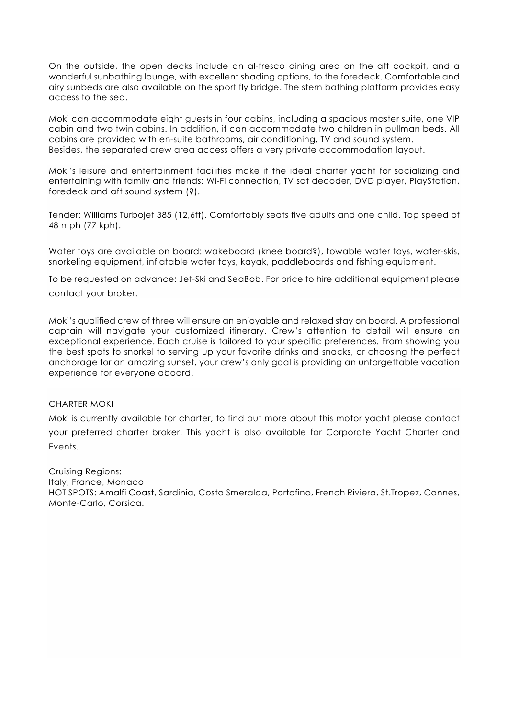On the outside, the open decks include an al-fresco dining area on the aft cockpit, and a wonderful sunbathing lounge, with excellent shading options, to the foredeck. Comfortable and airy sunbeds are also available on the sport fly bridge. The stern bathing platform provides easy access to the sea.

Moki can accommodate eight guests in four cabins, including a spacious master suite, one VIP cabin and two twin cabins. In addition, it can accommodate two children in pullman beds. All cabins are provided with en-suite bathrooms, air conditioning, TV and sound system. Besides, the separated crew area access offers a very private accommodation layout.

Moki's leisure and entertainment facilities make it the ideal charter yacht for socializing and entertaining with family and friends: Wi-Fi connection, TV sat decoder, DVD player, PlayStation, foredeck and aft sound system (?).

Tender: Williams Turbojet 385 (12,6ft). Comfortably seats five adults and one child. Top speed of 48 mph (77 kph).

Water toys are available on board: wakeboard (knee board?), towable water toys, water-skis, snorkeling equipment, inflatable water toys, kayak, paddleboards and fishing equipment.

To be requested on advance: Jet-Ski and SeaBob. For price to hire additional equipment please contact your broker.

Moki's qualified crew of three will ensure an enjoyable and relaxed stay on board. A professional captain will navigate your customized itinerary. Crew's attention to detail will ensure an exceptional experience. Each cruise is tailored to your specific preferences. From showing you the best spots to snorkel to serving up your favorite drinks and snacks, or choosing the perfect anchorage for an amazing sunset, your crew's only goal is providing an unforgettable vacation experience for everyone aboard.

## CHARTER MOKI

Moki is currently available for charter, to find out more about this motor yacht please contact your preferred charter broker. This yacht is also available for Corporate Yacht Charter and Events.

Cruising Regions: Italy, France, Monaco HOT SPOTS: Amalfi Coast, Sardinia, Costa Smeralda, Portofino, French Riviera, St.Tropez, Cannes, Monte-Carlo, Corsica.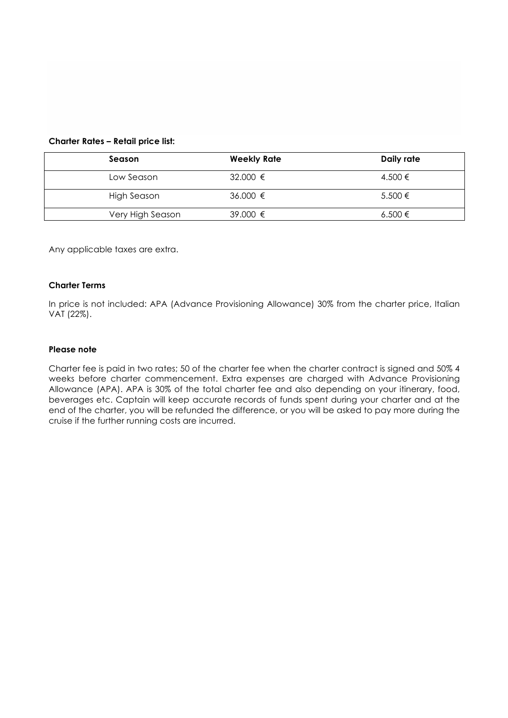### **Charter Rates – Retail price list:**

| Season           | <b>Weekly Rate</b> | Daily rate  |
|------------------|--------------------|-------------|
| Low Season       | $32,000 \in$       | 4.500 €     |
| High Season      | 36.000 €           | $5.500 \in$ |
| Very High Season | 39.000 €           | $6.500 \in$ |

Any applicable taxes are extra.

#### **Charter Terms**

In price is not included: APA (Advance Provisioning Allowance) 30% from the charter price, Italian VAT (22%).

#### **Please note**

Charter fee is paid in two rates; 50 of the charter fee when the charter contract is signed and 50% 4 weeks before charter commencement. Extra expenses are charged with Advance Provisioning Allowance (APA). APA is 30% of the total charter fee and also depending on your itinerary, food, beverages etc. Captain will keep accurate records of funds spent during your charter and at the end of the charter, you will be refunded the difference, or you will be asked to pay more during the cruise if the further running costs are incurred.